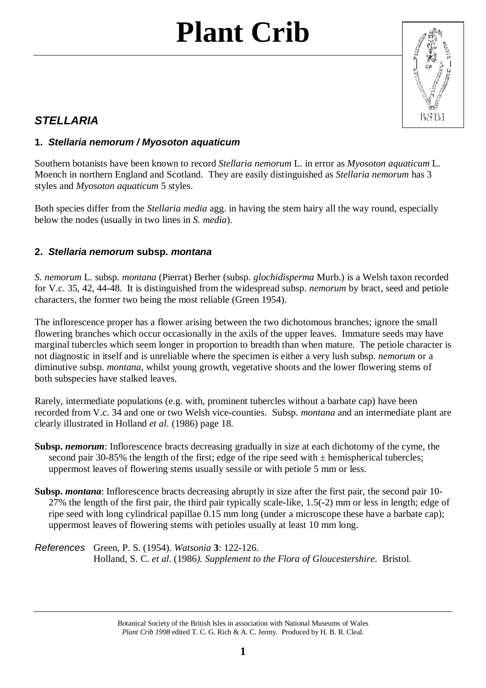# **Plant Crib**



### *STELLARIA*

### **1.** *Stellaria nemorum / Myosoton aquaticum*

Southern botanists have been known to record *Stellaria nemorum* L. in error as *Myosoton aquaticum* L. Moench in northern England and Scotland. They are easily distinguished as *Stellaria nemorum* has 3 styles and *Myosoton aquaticum* 5 styles.

Both species differ from the *Stellaria media* agg. in having the stem hairy all the way round, especially below the nodes (usually in two lines in *S. media*).

#### **2.** *Stellaria nemorum* **subsp***. montana*

*S. nemorum* L. subsp. *montana* (Pierrat) Berher (subsp. *glochidisperma* Murb.) is a Welsh taxon recorded for V.c. 35, 42, 44-48. It is distinguished from the widespread subsp. *nemorum* by bract, seed and petiole characters, the former two being the most reliable (Green 1954).

The inflorescence proper has a flower arising between the two dichotomous branches; ignore the small flowering branches which occur occasionally in the axils of the upper leaves. Immature seeds may have marginal tubercles which seem longer in proportion to breadth than when mature. The petiole character is not diagnostic in itself and is unreliable where the specimen is either a very lush subsp. *nemorum* or a diminutive subsp. *montana,* whilst young growth, vegetative shoots and the lower flowering stems of both subspecies have stalked leaves.

Rarely, intermediate populations (e.g. with, prominent tubercles without a barbate cap) have been recorded from V.c. 34 and one or two Welsh vice-counties. Subsp. *montana* and an intermediate plant are clearly illustrated in Holland *et al.* (1986) page 18.

- **Subsp.** *nemorum*: Inflorescence bracts decreasing gradually in size at each dichotomy of the cyme, the second pair 30-85% the length of the first; edge of the ripe seed with  $\pm$  hemispherical tubercles; uppermost leaves of flowering stems usually sessile or with petiole 5 mm or less.
- **Subsp.** *montana*: Inflorescence bracts decreasing abruptly in size after the first pair, the second pair 10-27% the length of the first pair, the third pair typically scale-like, 1.5(-2) mm or less in length; edge of ripe seed with long cylindrical papillae 0.15 mm long (under a microscope these have a barbate cap); uppermost leaves of flowering stems with petioles usually at least 10 mm long.
- *References* Green, P. S. (1954). *Watsonia* **3**: 122-126. Holland, S. C. *et al*. (1986*). Supplement to the Flora of Gloucestershire*. Bristol.

Botanical Society of the British Isles in association with National Museums of Wales *Plant Crib 1998* edited T. C. G. Rich & A. C. Jermy. Produced by H. B. R. Cleal.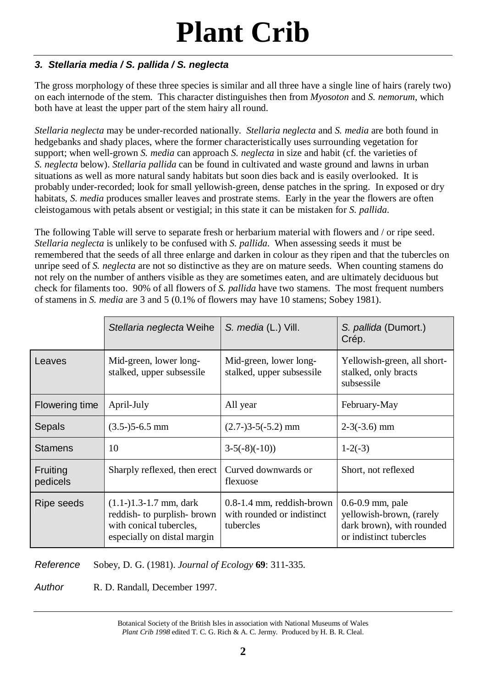## **Plant Crib**

### *3. Stellaria media / S. pallida / S. neglecta*

The gross morphology of these three species is similar and all three have a single line of hairs (rarely two) on each internode of the stem. This character distinguishes then from *Myosoton* and *S. nemorum*, which both have at least the upper part of the stem hairy all round.

*Stellaria neglecta* may be under-recorded nationally. *Stellaria neglecta* and *S. media* are both found in hedgebanks and shady places, where the former characteristically uses surrounding vegetation for support; when well-grown *S. media* can approach *S. neglecta* in size and habit (cf. the varieties of *S. neglecta* below). *Stellaria pallida* can be found in cultivated and waste ground and lawns in urban situations as well as more natural sandy habitats but soon dies back and is easily overlooked. It is probably under-recorded; look for small yellowish-green, dense patches in the spring. In exposed or dry habitats, *S. media* produces smaller leaves and prostrate stems. Early in the year the flowers are often cleistogamous with petals absent or vestigial; in this state it can be mistaken for *S. pallida*.

The following Table will serve to separate fresh or herbarium material with flowers and / or ripe seed. *Stellaria neglecta* is unlikely to be confused with *S. pallida*. When assessing seeds it must be remembered that the seeds of all three enlarge and darken in colour as they ripen and that the tubercles on unripe seed of *S. neglecta* are not so distinctive as they are on mature seeds. When counting stamens do not rely on the number of anthers visible as they are sometimes eaten, and are ultimately deciduous but check for filaments too. 90% of all flowers of *S. pallida* have two stamens. The most frequent numbers of stamens in *S. media* are 3 and 5 (0.1% of flowers may have 10 stamens; Sobey 1981).

|                       | Stellaria neglecta Weihe                                                                                          | S. media (L.) Vill.                                                    | S. pallida (Dumort.)<br>Crép.                                                                            |
|-----------------------|-------------------------------------------------------------------------------------------------------------------|------------------------------------------------------------------------|----------------------------------------------------------------------------------------------------------|
| Leaves                | Mid-green, lower long-<br>stalked, upper subsessile                                                               | Mid-green, lower long-<br>stalked, upper subsessile                    | Yellowish-green, all short-<br>stalked, only bracts<br>subsessile                                        |
| <b>Flowering time</b> | April-July                                                                                                        | All year                                                               | February-May                                                                                             |
| Sepals                | $(3.5-)5-6.5$ mm                                                                                                  | $(2.7-)3-5(-5.2)$ mm                                                   | $2-3(-3.6)$ mm                                                                                           |
| <b>Stamens</b>        | 10                                                                                                                | $3-5(-8)(-10)$                                                         | $1-2(-3)$                                                                                                |
| Fruiting<br>pedicels  | Sharply reflexed, then erect                                                                                      | Curved downwards or<br>flexuose                                        | Short, not reflexed                                                                                      |
| Ripe seeds            | $(1.1-)1.3-1.7$ mm, dark<br>reddish- to purplish- brown<br>with conical tubercles,<br>especially on distal margin | $0.8-1.4$ mm, reddish-brown<br>with rounded or indistinct<br>tubercles | $0.6 - 0.9$ mm, pale<br>yellowish-brown, (rarely<br>dark brown), with rounded<br>or indistinct tubercles |

*Reference* Sobey, D. G. (1981). *Journal of Ecology* **69**: 311-335.

*Author* **R. D. Randall, December 1997.** 

Botanical Society of the British Isles in association with National Museums of Wales *Plant Crib 1998* edited T. C. G. Rich & A. C. Jermy. Produced by H. B. R. Cleal.